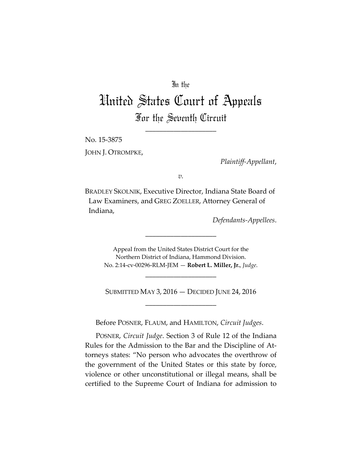## In the

## United States Court of Appeals For the Seventh Circuit

\_\_\_\_\_\_\_\_\_\_\_\_\_\_\_\_\_\_\_\_

No. 15‐3875 JOHN J. OTROMPKE,

*Plaintiff‐Appellant*,

*v.*

BRADLEY SKOLNIK, Executive Director, Indiana State Board of Law Examiners, and GREG ZOELLER, Attorney General of Indiana,

*Defendants‐Appellees*.

Appeal from the United States District Court for the Northern District of Indiana, Hammond Division. No. 2:14‐cv‐00296‐RLM‐JEM — **Robert L. Miller, Jr.**, *Judge*.

\_\_\_\_\_\_\_\_\_\_\_\_\_\_\_\_\_\_\_\_

SUBMITTED MAY 3, 2016 — DECIDED JUNE 24, 2016 \_\_\_\_\_\_\_\_\_\_\_\_\_\_\_\_\_\_\_\_

\_\_\_\_\_\_\_\_\_\_\_\_\_\_\_\_\_\_\_\_

Before POSNER, FLAUM, and HAMILTON, *Circuit Judges*.

POSNER, *Circuit Judge*. Section 3 of Rule 12 of the Indiana Rules for the Admission to the Bar and the Discipline of At‐ torneys states: "No person who advocates the overthrow of the government of the United States or this state by force, violence or other unconstitutional or illegal means, shall be certified to the Supreme Court of Indiana for admission to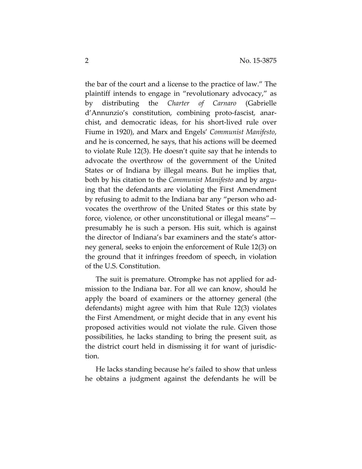the bar of the court and a license to the practice of law." The plaintiff intends to engage in "revolutionary advocacy," as by distributing the *Charter of Carnaro* (Gabrielle d'Annunzio's constitution, combining proto‐fascist, anar‐ chist, and democratic ideas, for his short‐lived rule over Fiume in 1920), and Marx and Engels' *Communist Manifesto*, and he is concerned, he says, that his actions will be deemed to violate Rule 12(3). He doesn't quite say that he intends to advocate the overthrow of the government of the United States or of Indiana by illegal means. But he implies that, both by his citation to the *Communist Manifesto* and by argu‐ ing that the defendants are violating the First Amendment by refusing to admit to the Indiana bar any "person who ad‐ vocates the overthrow of the United States or this state by force, violence, or other unconstitutional or illegal means" presumably he is such a person. His suit, which is against the director of Indiana's bar examiners and the state's attor‐ ney general, seeks to enjoin the enforcement of Rule 12(3) on the ground that it infringes freedom of speech, in violation of the U.S. Constitution.

The suit is premature. Otrompke has not applied for ad‐ mission to the Indiana bar. For all we can know, should he apply the board of examiners or the attorney general (the defendants) might agree with him that Rule 12(3) violates the First Amendment, or might decide that in any event his proposed activities would not violate the rule. Given those possibilities, he lacks standing to bring the present suit, as the district court held in dismissing it for want of jurisdic‐ tion.

He lacks standing because he's failed to show that unless he obtains a judgment against the defendants he will be